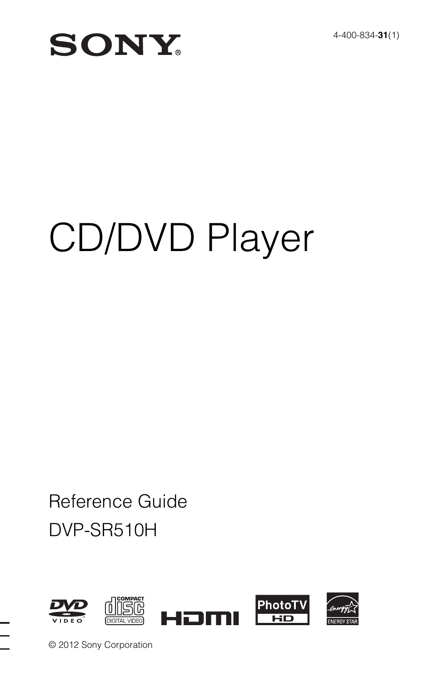## **SONY**

# CD/DVD Player

## DVP-SR510H Reference Guide



© 2012 Sony Corporation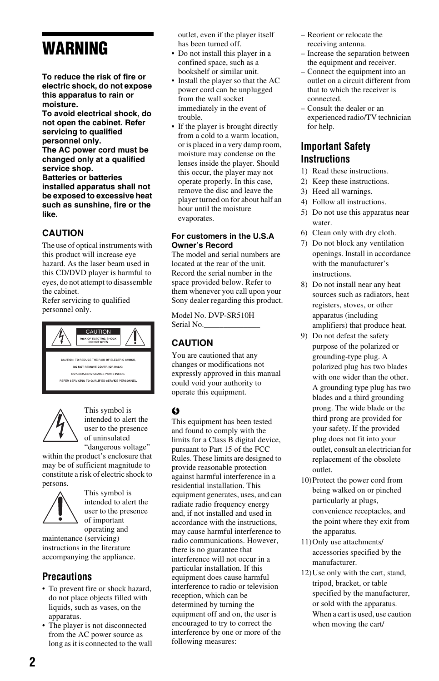## **WARNING**

**To reduce the risk of fire or electric shock, do not expose this apparatus to rain or moisture.**

**To avoid electrical shock, do not open the cabinet. Refer servicing to qualified personnel only. The AC power cord must be changed only at a qualified** 

**service shop. Batteries or batteries installed apparatus shall not be exposed to excessive heat such as sunshine, fire or the like.**

#### **CAUTION**

The use of optical instruments with this product will increase eye hazard. As the laser beam used in this CD/DVD player is harmful to eyes, do not attempt to disassemble the cabinet.

Refer servicing to qualified personnel only.





This symbol is intended to alert the user to the presence of uninsulated "dangerous voltage"

within the product's enclosure that may be of sufficient magnitude to constitute a risk of electric shock to persons.



This symbol is intended to alert the user to the presence of important operating and

maintenance (servicing) instructions in the literature accompanying the appliance.

#### **Precautions**

- To prevent fire or shock hazard, do not place objects filled with liquids, such as vases, on the apparatus.
- The player is not disconnected from the AC power source as long as it is connected to the wall

outlet, even if the player itself has been turned off.

- Do not install this player in a confined space, such as a bookshelf or similar unit.
- Install the player so that the AC power cord can be unplugged from the wall socket immediately in the event of trouble.
- If the player is brought directly from a cold to a warm location, or is placed in a very damp room, moisture may condense on the lenses inside the player. Should this occur, the player may not operate properly. In this case, remove the disc and leave the player turned on for about half an hour until the moisture evaporates.

#### **For customers in the U.S.A Owner's Record**

The model and serial numbers are located at the rear of the unit. Record the serial number in the space provided below. Refer to them whenever you call upon your Sony dealer regarding this product.

Model No. DVP-SR510H Serial No.

#### **CAUTION**

You are cautioned that any changes or modifications not expressly approved in this manual could void your authority to operate this equipment.

#### $\omega$

This equipment has been tested and found to comply with the limits for a Class B digital device, pursuant to Part 15 of the FCC Rules. These limits are designed to provide reasonable protection against harmful interference in a residential installation. This equipment generates, uses, and can radiate radio frequency energy and, if not installed and used in accordance with the instructions, may cause harmful interference to radio communications. However, there is no guarantee that interference will not occur in a particular installation. If this equipment does cause harmful interference to radio or television reception, which can be determined by turning the equipment off and on, the user is encouraged to try to correct the interference by one or more of the following measures:

- Reorient or relocate the receiving antenna.
- Increase the separation between the equipment and receiver.
- Connect the equipment into an outlet on a circuit different from that to which the receiver is connected.
- Consult the dealer or an experienced radio/TV technician for help.

#### **Important Safety Instructions**

- 1) Read these instructions.
- 2) Keep these instructions.
- 3) Heed all warnings.
- 4) Follow all instructions.
- 5) Do not use this apparatus near water.
- 6) Clean only with dry cloth.
- 7) Do not block any ventilation openings. Install in accordance with the manufacturer's instructions.
- 8) Do not install near any heat sources such as radiators, heat registers, stoves, or other apparatus (including amplifiers) that produce heat.
- 9) Do not defeat the safety purpose of the polarized or grounding-type plug. A polarized plug has two blades with one wider than the other. A grounding type plug has two blades and a third grounding prong. The wide blade or the third prong are provided for your safety. If the provided plug does not fit into your outlet, consult an electrician for replacement of the obsolete outlet.
- 10)Protect the power cord from being walked on or pinched particularly at plugs, convenience receptacles, and the point where they exit from the apparatus.
- 11)Only use attachments/ accessories specified by the manufacturer.
- 12)Use only with the cart, stand, tripod, bracket, or table specified by the manufacturer, or sold with the apparatus. When a cart is used, use caution when moving the cart/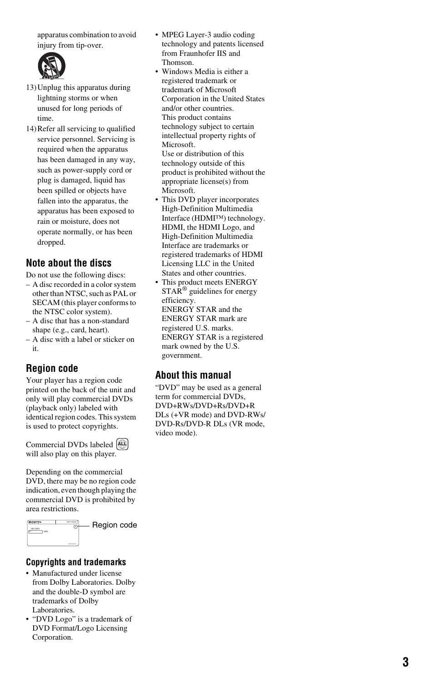apparatus combination to avoid injury from tip-over.



- 13)Unplug this apparatus during lightning storms or when unused for long periods of time.
- 14)Refer all servicing to qualified service personnel. Servicing is required when the apparatus has been damaged in any way, such as power-supply cord or plug is damaged, liquid has been spilled or objects have fallen into the apparatus, the apparatus has been exposed to rain or moisture, does not operate normally, or has been dropped.

#### **Note about the discs**

Do not use the following discs:

- A disc recorded in a color system other than NTSC, such as PAL or SECAM (this player conforms to the NTSC color system).
- A disc that has a non-standard shape (e.g., card, heart).
- A disc with a label or sticker on it.

#### **Region code**

Your player has a region code printed on the back of the unit and only will play commercial DVDs (playback only) labeled with identical region codes. This system is used to protect copyrights.

Commercial DVDs labeled **ALL** will also play on this player.

Depending on the commercial DVD, there may be no region code indication, even though playing the commercial DVD is prohibited by area restrictions.



Region code

#### **Copyrights and trademarks**

- Manufactured under license from Dolby Laboratories. Dolby and the double-D symbol are trademarks of Dolby Laboratories.
- "DVD Logo" is a trademark of DVD Format/Logo Licensing Corporation.
- MPEG Layer-3 audio coding technology and patents licensed from Fraunhofer IIS and Thomson.
- Windows Media is either a registered trademark or trademark of Microsoft Corporation in the United States and/or other countries. This product contains technology subject to certain intellectual property rights of Microsoft. Use or distribution of this technology outside of this product is prohibited without the appropriate license(s) from Microsoft.
- This DVD player incorporates High-Definition Multimedia Interface (HDMI™) technology. HDMI, the HDMI Logo, and High-Definition Multimedia Interface are trademarks or registered trademarks of HDMI Licensing LLC in the United States and other countries.
- This product meets ENERGY STAR ® guidelines for energy efficiency. ENERGY STAR and the ENERGY STAR mark are registered U.S. marks. ENERGY STAR is a registered mark owned by the U.S. government.

#### **About this manual**

"DVD" may be used as a general term for commercial DVDs. DVD+RWs/DVD+Rs/DVD+R DLs (+VR mode) and DVD-RWs/ DVD-Rs/DVD-R DLs (VR mode, video mode).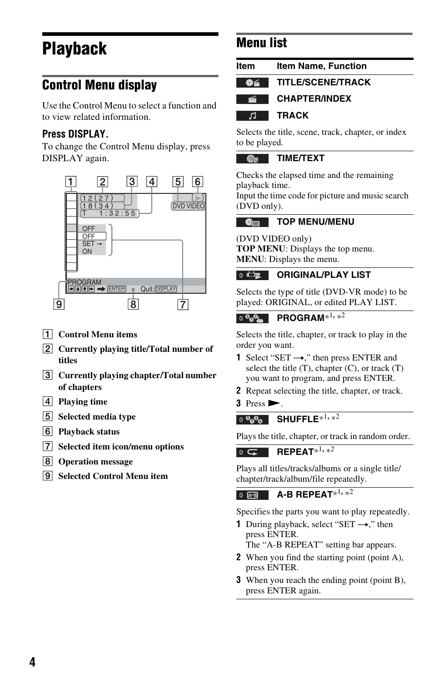## **Playback**

## **Control Menu display**

Use the Control Menu to select a function and to view related information.

### **Press DISPLAY.**

To change the Control Menu display, press DISPLAY again.



- A **Control Menu items**
- B **Currently playing title/Total number of titles**
- **[3] Currently playing chapter/Total number of chapters**
- **4** Playing time
- **E** Selected media type
- **6** Playback status
- G **Selected item icon/menu options**
- **8** Operation message
- **IgI** Selected Control Menu item

## **Menu list**

| <b>Item Name, Function</b> |
|----------------------------|
| <b>TITLE/SCENE/TRACK</b>   |
| <b>CHAPTER/INDEX</b>       |
| <b>TRACK</b>               |
|                            |

Selects the title, scene, track, chapter, or index to be played.

#### $Q_{\rm R}$ **TIME/TEXT**

Checks the elapsed time and the remaining playback time.

Input the time code for picture and music search (DVD only).

#### **TOP MENU/MENU**   $\bullet$

(DVD VIDEO only) **TOP MENU**: Displays the top menu. **MENU**: Displays the menu.

#### **ORIGINAL/PLAY LIST**  $0$

Selects the type of title (DVD-VR mode) to be played: ORIGINAL, or edited PLAY LIST.

#### ு ஓி் ம **PROGRAM**\*1**,** \*2

Selects the title, chapter, or track to play in the order you want.

- **1** Select "SET  $\rightarrow$ ," then press ENTER and select the title  $(T)$ , chapter  $(C)$ , or track  $(T)$ you want to program, and press ENTER.
- **2** Repeat selecting the title, chapter, or track.
- $3$  Press  $\blacktriangleright$ .

### **SHUFFLE**\*1, \*2

Plays the title, chapter, or track in random order.

**REPEAT**\*1,  $\frac{1}{2}$  $\overline{a}$ 

Plays all titles/tracks/albums or a single title/ chapter/track/album/file repeatedly.

#### **A-B REPEAT**\*1**,** \*<sup>2</sup>  $0$   $A-B$

Specifies the parts you want to play repeatedly.

**1** During playback, select "SET  $\rightarrow$ ," then press ENTER.

The "A-B REPEAT" setting bar appears.

- **2** When you find the starting point (point A), press ENTER.
- **3** When you reach the ending point (point B), press ENTER again.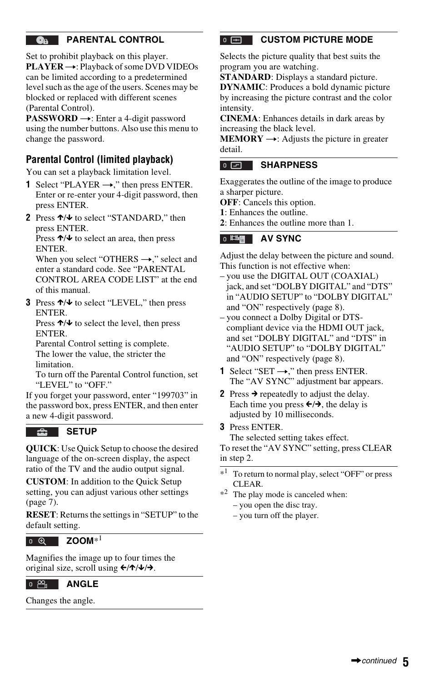#### <span id="page-4-0"></span>**PARENTAL CONTROL**  $\mathbf{a}$

Set to prohibit playback on this player. **PLAYER →: Playback of some DVD VIDEOs** can be limited according to a predetermined level such as the age of the users. Scenes may be blocked or replaced with different scenes (Parental Control).

**PASSWORD** →: Enter a 4-digit password using the number buttons. Also use this menu to change the password.

### **Parental Control (limited playback)**

You can set a playback limitation level.

- **1** Select "PLAYER  $\rightarrow$ ," then press ENTER. Enter or re-enter your 4-digit password, then press ENTER.
- **2** Press ↑/↓ to select "STANDARD," then press ENTER.

Press  $\uparrow/\downarrow$  to select an area, then press ENTER.

When you select "OTHERS  $\rightarrow$ ," select and enter a standard code. See "PARENTAL CONTROL AREA CODE LIST" at the end of this manual.

**3** Press ↑/↓ to select "LEVEL," then press ENTER.

Press  $\uparrow/\downarrow$  to select the level, then press ENTER.

Parental Control setting is complete. The lower the value, the stricter the limitation.

To turn off the Parental Control function, set "LEVEL" to "OFF."

If you forget your password, enter "199703" in the password box, press ENTER, and then enter a new 4-digit password.

#### **SETUP**

**QUICK**: Use Quick Setup to choose the desired language of the on-screen display, the aspect ratio of the TV and the audio output signal.

**CUSTOM**: In addition to the Quick Setup setting, you can adjust various other settings [\(page 7](#page-6-0)).

**RESET**: Returns the settings in "SETUP" to the default setting.

 $0$   $\Theta$ 

**ZOOM**\*1

Magnifies the image up to four times the original size, scroll using  $\leftarrow/\uparrow/\downarrow/\rightarrow$ .



Changes the angle.

#### $0$   $\boxed{+}$ **CUSTOM PICTURE MODE**

Selects the picture quality that best suits the program you are watching.

**STANDARD**: Displays a standard picture.

**DYNAMIC**: Produces a bold dynamic picture by increasing the picture contrast and the color intensity.

**CINEMA**: Enhances details in dark areas by increasing the black level.

**MEMORY**  $\rightarrow$ : Adjusts the picture in greater detail.

#### $0<sub>F</sub>$ **SHARPNESS**

Exaggerates the outline of the image to produce a sharper picture.

**OFF**: Cancels this option.

- **1**: Enhances the outline.
- **2**: Enhances the outline more than 1.

#### 0 時間 **AV SYNC**

Adjust the delay between the picture and sound. This function is not effective when:

- you use the DIGITAL OUT (COAXIAL) jack, and set "DOLBY DIGITAL" and "DTS" in "AUDIO SETUP" to "DOLBY DIGITAL" and "ON" respectively [\(page 8](#page-7-0)).
- you connect a Dolby Digital or DTScompliant device via the HDMI OUT jack, and set "DOLBY DIGITAL" and "DTS" in "AUDIO SETUP" to "DOLBY DIGITAL" and "ON" respectively [\(page 8](#page-7-0)).
- **1** Select "SET  $\rightarrow$ ," then press ENTER. The "AV SYNC" adjustment bar appears.
- **2** Press  $\rightarrow$  repeatedly to adjust the delay. Each time you press  $\leftarrow/\rightarrow$ , the delay is adjusted by 10 milliseconds.
- **3** Press ENTER. The selected setting takes effect.

To reset the "AV SYNC" setting, press CLEAR in step 2.

- To return to normal play, select "OFF" or press CLEAR.
- $*^2$  The play mode is canceled when: – you open the disc tray.
	- you turn off the player.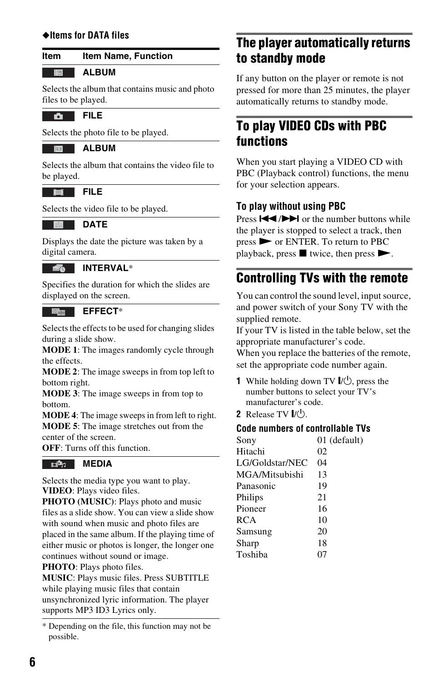#### **Item Item Name, Function**

#### **ALBUM**

Selects the album that contains music and photo files to be played.

**FILE** 

同

Selects the photo file to be played.

**ALBUM**

Selects the album that contains the video file to be played.

 $\blacksquare$ **FILE**

Selects the video file to be played.

#### **DATE A**

Displays the date the picture was taken by a digital camera.

#### **INTERVAL**\*

Specifies the duration for which the slides are displayed on the screen.

#### - 隆山 **EFFECT**\*

Selects the effects to be used for changing slides during a slide show.

**MODE 1**: The images randomly cycle through the effects.

**MODE 2**: The image sweeps in from top left to bottom right.

**MODE 3**: The image sweeps in from top to bottom.

**MODE 4**: The image sweeps in from left to right. **MODE 5**: The image stretches out from the center of the screen.

**OFF**: Turns off this function.

#### **MEDIA**

Selects the media type you want to play. **VIDEO**: Plays video files.

**PHOTO (MUSIC)**: Plays photo and music files as a slide show. You can view a slide show with sound when music and photo files are placed in the same album. If the playing time of either music or photos is longer, the longer one continues without sound or image.

**PHOTO**: Plays photo files.

**MUSIC**: Plays music files. Press SUBTITLE while playing music files that contain unsynchronized lyric information. The player supports MP3 ID3 Lyrics only.

## ◆**Items for DATA files The player automatically returns to standby mode**

If any button on the player or remote is not pressed for more than 25 minutes, the player automatically returns to standby mode.

### **To play VIDEO CDs with PBC functions**

When you start playing a VIDEO CD with PBC (Playback control) functions, the menu for your selection appears.

#### **To play without using PBC**

Press  $\blacktriangleright$   $\blacktriangleright$   $\blacktriangleright$  or the number buttons while the player is stopped to select a track, then press N or ENTER. To return to PBC playback, press  $\blacksquare$  twice, then press  $\blacktriangleright$ .

### **Controlling TVs with the remote**

You can control the sound level, input source, and power switch of your Sony TV with the supplied remote.

If your TV is listed in the table below, set the appropriate manufacturer's code.

When you replace the batteries of the remote, set the appropriate code number again.

- **1** While holding down TV  $\mathbf{I}/\mathbf{U}$ , press the number buttons to select your TV's manufacturer's code.
- **2** Release TV  $\mathbf{I}/\mathbf{C}^{\dagger}$ ).

#### **Code numbers of controllable TVs**

| Sony            | 01 (default) |
|-----------------|--------------|
| Hitachi         | 02           |
| LG/Goldstar/NEC | 04           |
| MGA/Mitsubishi  | 13           |
| Panasonic       | 19           |
| Philips         | 21           |
| Pioneer         | 16           |
| <b>RCA</b>      | 10           |
| Samsung         | 20           |
| Sharp           | 18           |
| Toshiba         |              |
|                 |              |

<sup>\*</sup> Depending on the file, this function may not be possible.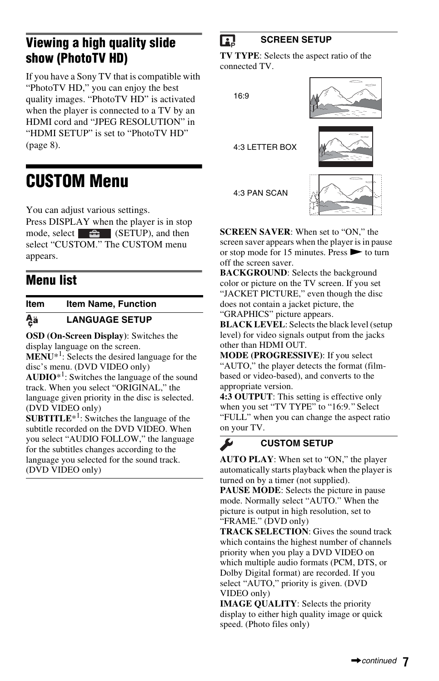## **Viewing a high quality slide show (PhotoTV HD)**

If you have a Sony TV that is compatible with "PhotoTV HD," you can enjoy the best quality images. "PhotoTV HD" is activated when the player is connected to a TV by an HDMI cord and "JPEG RESOLUTION" in "HDMI SETUP" is set to "PhotoTV HD" ([page 8\)](#page-7-1).

## <span id="page-6-0"></span>**CUSTOM Menu**

You can adjust various settings.

Press DISPLAY when the player is in stop mode, select  $\left( \bigsetminus_{i=1}^{\infty} \mathbb{I}(\text{SETUP}) \right)$ , and then select "CUSTOM." The CUSTOM menu appears.

## **Menu list**

**Item Item Name, Function**

#### <span id="page-6-1"></span>Ąä **LANGUAGE SETUP**

**OSD (On-Screen Display)**: Switches the display language on the screen. **MENU**\*<sup>1</sup> : Selects the desired language for the

disc's menu. (DVD VIDEO only)

 $AUDIO^*1$ : Switches the language of the sound track. When you select "ORIGINAL," the language given priority in the disc is selected. (DVD VIDEO only)

**SUBTITLE**<sup>\*1</sup>: Switches the language of the subtitle recorded on the DVD VIDEO. When you select "AUDIO FOLLOW," the language for the subtitles changes according to the language you selected for the sound track. (DVD VIDEO only)

#### **SCREEN SETUP** n.

**TV TYPE**: Selects the aspect ratio of the connected TV.

16:9

4:3 LETTER BOX

4:3 PAN SCAN



**SCREEN SAVER**: When set to "ON," the screen saver appears when the player is in pause or stop mode for 15 minutes. Press  $\triangleright$  to turn off the screen saver.

**BACKGROUND**: Selects the background color or picture on the TV screen. If you set "JACKET PICTURE," even though the disc does not contain a jacket picture, the "GRAPHICS" picture appears.

**BLACK LEVEL**: Selects the black level (setup level) for video signals output from the jacks other than HDMI OUT.

**MODE (PROGRESSIVE)**: If you select "AUTO," the player detects the format (filmbased or video-based), and converts to the appropriate version.

**4:3 OUTPUT**: This setting is effective only when you set "TV TYPE" to "16:9." Select "FULL" when you can change the aspect ratio on your TV.

#### H **CUSTOM SETUP**

**AUTO PLAY**: When set to "ON," the player automatically starts playback when the player is turned on by a timer (not supplied).

**PAUSE MODE**: Selects the picture in pause mode. Normally select "AUTO." When the picture is output in high resolution, set to "FRAME." (DVD only)

**TRACK SELECTION**: Gives the sound track which contains the highest number of channels priority when you play a DVD VIDEO on which multiple audio formats (PCM, DTS, or Dolby Digital format) are recorded. If you select "AUTO," priority is given. (DVD VIDEO only)

**IMAGE QUALITY**: Selects the priority display to either high quality image or quick speed. (Photo files only)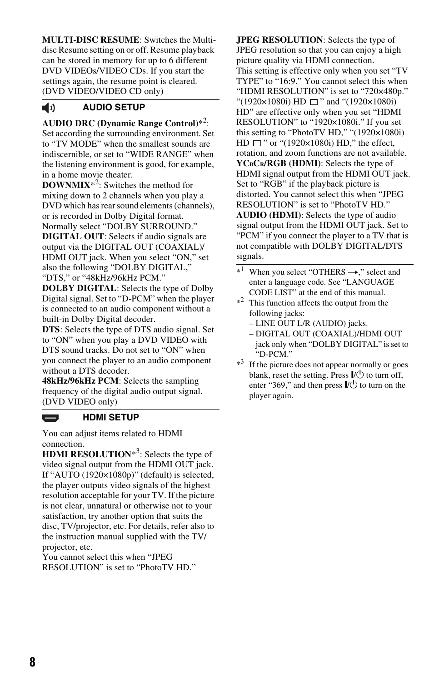**MULTI-DISC RESUME**: Switches the Multidisc Resume setting on or off. Resume playback can be stored in memory for up to 6 different DVD VIDEOs/VIDEO CDs. If you start the settings again, the resume point is cleared. (DVD VIDEO/VIDEO CD only)

#### <span id="page-7-0"></span>**AUDIO SETUP**  $\blacktriangleleft$

**AUDIO DRC (Dynamic Range Control)**\*2: Set according the surrounding environment. Set to "TV MODE" when the smallest sounds are indiscernible, or set to "WIDE RANGE" when the listening environment is good, for example, in a home movie theater.

**DOWNMIX**\*2: Switches the method for mixing down to 2 channels when you play a DVD which has rear sound elements (channels), or is recorded in Dolby Digital format. Normally select "DOLBY SURROUND."

**DIGITAL OUT**: Selects if audio signals are output via the DIGITAL OUT (COAXIAL)/ HDMI OUT jack. When you select "ON," set also the following "DOLBY DIGITAL," "DTS," or "48kHz/96kHz PCM."

**DOLBY DIGITAL**: Selects the type of Dolby Digital signal. Set to "D-PCM" when the player is connected to an audio component without a built-in Dolby Digital decoder.

**DTS**: Selects the type of DTS audio signal. Set to "ON" when you play a DVD VIDEO with DTS sound tracks. Do not set to "ON" when you connect the player to an audio component without a DTS decoder.

**48kHz/96kHz PCM**: Selects the sampling frequency of the digital audio output signal. (DVD VIDEO only)

#### **HDMI SETUP**

You can adjust items related to HDMI connection.

**HDMI RESOLUTION**<sup>\*3</sup>: Selects the type of video signal output from the HDMI OUT jack. If "AUTO (1920×1080p)" (default) is selected, the player outputs video signals of the highest resolution acceptable for your TV. If the picture is not clear, unnatural or otherwise not to your satisfaction, try another option that suits the disc, TV/projector, etc. For details, refer also to the instruction manual supplied with the TV/ projector, etc.

You cannot select this when "JPEG RESOLUTION" is set to "PhotoTV HD." <span id="page-7-1"></span>**JPEG RESOLUTION**: Selects the type of JPEG resolution so that you can enjoy a high picture quality via HDMI connection. This setting is effective only when you set "TV TYPE" to "16:9." You cannot select this when "HDMI RESOLUTION" is set to "720×480p." "(1920×1080i) HD  $\Box$ " and "(1920×1080i) HD" are effective only when you set "HDMI RESOLUTION" to "1920×1080i." If you set this setting to "PhotoTV HD," "(1920×1080i)  $HD \sqcap$ " or " $(1920 \times 1080i)$  HD," the effect. rotation, and zoom functions are not available. **YCBCR/RGB (HDMI)**: Selects the type of HDMI signal output from the HDMI OUT jack. Set to "RGB" if the playback picture is distorted. You cannot select this when "JPEG RESOLUTION" is set to "PhotoTV HD." **AUDIO (HDMI)**: Selects the type of audio signal output from the HDMI OUT jack. Set to "PCM" if you connect the player to a TV that is not compatible with DOLBY DIGITAL/DTS signals.

- $*1$  When you select "OTHERS  $\rightarrow$ ," select and enter a language code. See "LANGUAGE CODE LIST" at the end of this manual.
- $*^2$  This function affects the output from the following jacks:
	- LINE OUT L/R (AUDIO) jacks.
	- DIGITAL OUT (COAXIAL)/HDMI OUT jack only when "DOLBY DIGITAL" is set to "D-PCM."
- \*<sup>3</sup> If the picture does not appear normally or goes blank, reset the setting. Press  $\mathbb{I}/\mathbb{I}$  to turn off, enter "369," and then press  $\mathbb{I}/\mathbb{I}$  to turn on the player again.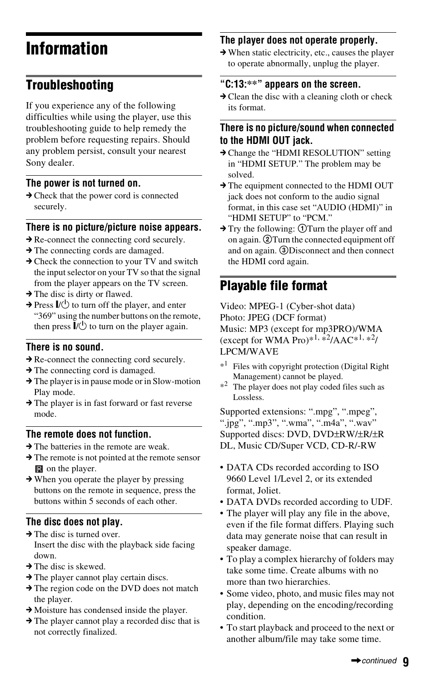## **Information**

## **Troubleshooting**

If you experience any of the following difficulties while using the player, use this troubleshooting guide to help remedy the problem before requesting repairs. Should any problem persist, consult your nearest Sony dealer.

#### **The power is not turned on.**

 $\rightarrow$  Check that the power cord is connected securely.

#### **There is no picture/picture noise appears.**

- $\rightarrow$  Re-connect the connecting cord securely.
- $\rightarrow$  The connecting cords are damaged.
- $\rightarrow$  Check the connection to your TV and switch the input selector on your TV so that the signal from the player appears on the TV screen.
- $\rightarrow$  The disc is dirty or flawed.
- $\rightarrow$  Press  $\mathbf{I}/\mathbf{U}$  to turn off the player, and enter "369" using the number buttons on the remote, then press  $\mathbf{I}/\mathbf{U}$  to turn on the player again.

#### **There is no sound.**

- $\rightarrow$  Re-connect the connecting cord securely.
- $\rightarrow$  The connecting cord is damaged.
- $\rightarrow$  The player is in pause mode or in Slow-motion Play mode.
- $\rightarrow$  The player is in fast forward or fast reverse mode.

#### **The remote does not function.**

- $\rightarrow$  The batteries in the remote are weak.
- $\rightarrow$  The remote is not pointed at the remote sensor **n** on the player.
- $\rightarrow$  When you operate the player by pressing buttons on the remote in sequence, press the buttons within 5 seconds of each other.

### **The disc does not play.**

- $\rightarrow$  The disc is turned over. Insert the disc with the playback side facing down.
- $\rightarrow$  The disc is skewed.
- $\rightarrow$  The player cannot play certain discs.
- $\rightarrow$  The region code on the DVD does not match the player.
- $\rightarrow$  Moisture has condensed inside the player.
- $\rightarrow$  The player cannot play a recorded disc that is not correctly finalized.

### **The player does not operate properly.**

 $\rightarrow$  When static electricity, etc., causes the player to operate abnormally, unplug the player.

### **"C:13:\*\*" appears on the screen.**

 $\rightarrow$  Clean the disc with a cleaning cloth or check its format.

### **There is no picture/sound when connected to the HDMI OUT jack.**

- → Change the "HDMI RESOLUTION" setting in "HDMI SETUP." The problem may be solved.
- $\rightarrow$  The equipment connected to the HDMI OUT jack does not conform to the audio signal format, in this case set "AUDIO (HDMI)" in "HDMI SETUP" to "PCM."
- $\rightarrow$  Try the following:  $\odot$  Turn the player off and on again. **2**) Turn the connected equipment off and on again. **3Disconnect** and then connect the HDMI cord again.

## **Playable file format**

Video: MPEG-1 (Cyber-shot data) Photo: JPEG (DCF format) Music: MP3 (except for mp3PRO)/WMA (except for WMA Pro)\*<sup>1, \*2</sup>/AAC\*<sup>1, \*2</sup>/ LPCM/WAVE

- Files with copyright protection (Digital Right Management) cannot be played.
- \*<sup>2</sup> The player does not play coded files such as Lossless.

Supported extensions: ".mpg", ".mpeg", ".jpg", ".mp3", ".wma", ".m4a", ".wav" Supported discs: DVD, DVD±RW/±R/±R DL, Music CD/Super VCD, CD-R/-RW

- DATA CDs recorded according to ISO 9660 Level 1/Level 2, or its extended format, Joliet.
- DATA DVDs recorded according to UDF.
- The player will play any file in the above, even if the file format differs. Playing such data may generate noise that can result in speaker damage.
- To play a complex hierarchy of folders may take some time. Create albums with no more than two hierarchies.
- Some video, photo, and music files may not play, depending on the encoding/recording condition.
- To start playback and proceed to the next or another album/file may take some time.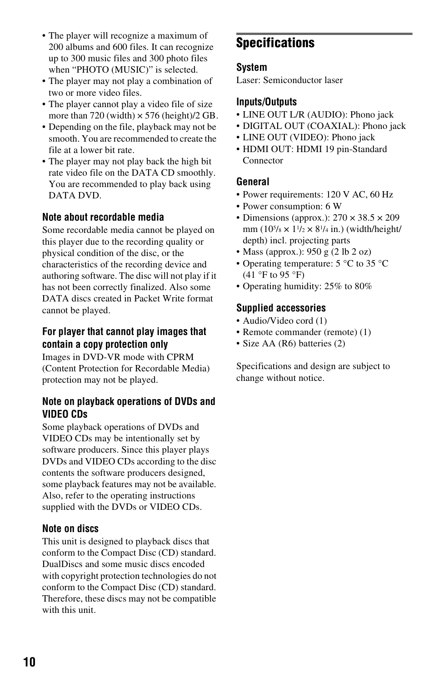- The player will recognize a maximum of 200 albums and 600 files. It can recognize up to 300 music files and 300 photo files when "PHOTO (MUSIC)" is selected.
- The player may not play a combination of two or more video files.
- The player cannot play a video file of size more than 720 (width)  $\times$  576 (height)/2 GB.
- Depending on the file, playback may not be smooth. You are recommended to create the file at a lower bit rate.
- The player may not play back the high bit rate video file on the DATA CD smoothly. You are recommended to play back using DATA DVD.

#### **Note about recordable media**

Some recordable media cannot be played on this player due to the recording quality or physical condition of the disc, or the characteristics of the recording device and authoring software. The disc will not play if it has not been correctly finalized. Also some DATA discs created in Packet Write format cannot be played.

### **For player that cannot play images that contain a copy protection only**

Images in DVD-VR mode with CPRM (Content Protection for Recordable Media) protection may not be played.

#### **Note on playback operations of DVDs and VIDEO CDs**

Some playback operations of DVDs and VIDEO CDs may be intentionally set by software producers. Since this player plays DVDs and VIDEO CDs according to the disc contents the software producers designed, some playback features may not be available. Also, refer to the operating instructions supplied with the DVDs or VIDEO CDs.

#### **Note on discs**

This unit is designed to playback discs that conform to the Compact Disc (CD) standard. DualDiscs and some music discs encoded with copyright protection technologies do not conform to the Compact Disc (CD) standard. Therefore, these discs may not be compatible with this unit.

## **Specifications**

#### **System**

Laser: Semiconductor laser

#### **Inputs/Outputs**

- LINE OUT L/R (AUDIO): Phono jack
- DIGITAL OUT (COAXIAL): Phono jack
- LINE OUT (VIDEO): Phono jack
- HDMI OUT: HDMI 19 pin-Standard Connector

#### **General**

- Power requirements: 120 V AC, 60 Hz
- Power consumption: 6 W
- Dimensions (approx.):  $270 \times 38.5 \times 209$ mm  $(10^{5}/8 \times 1^{1}/2 \times 8^{1}/4)$  in.) (width/height/ depth) incl. projecting parts
- Mass (approx.): 950 g (2 lb 2 oz)
- Operating temperature: 5 °C to 35 °C  $(41 \text{ °F to } 95 \text{ °F})$
- Operating humidity: 25% to 80%

#### **Supplied accessories**

- Audio/Video cord (1)
- Remote commander (remote) (1)
- Size AA (R6) batteries (2)

Specifications and design are subject to change without notice.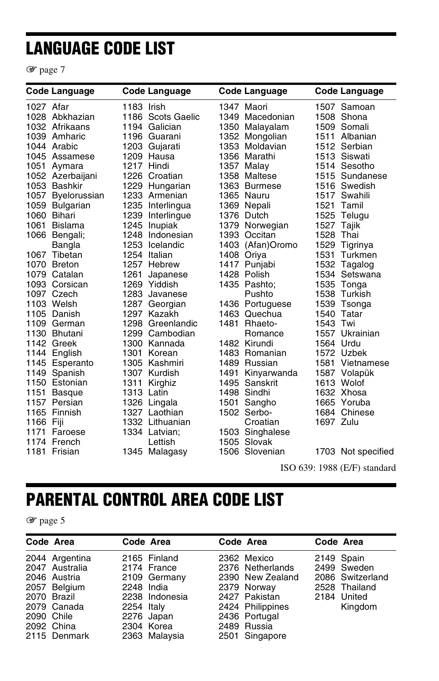## **LANGUAGE CODE LIST**

1 [page 7](#page-6-1)

|           | <b>Code Language</b> |            | <b>Code Language</b> | <b>Code Language</b> |           | <b>Code Language</b> |
|-----------|----------------------|------------|----------------------|----------------------|-----------|----------------------|
| 1027 Afar |                      | 1183 Irish |                      | 1347 Maori           |           | 1507 Samoan          |
|           | 1028 Abkhazian       |            | 1186 Scots Gaelic    | 1349 Macedonian      |           | 1508 Shona           |
|           | 1032 Afrikaans       |            | 1194 Galician        | 1350 Malayalam       |           | 1509 Somali          |
|           | 1039 Amharic         |            | 1196 Guarani         | 1352 Mongolian       |           | 1511 Albanian        |
|           | 1044 Arabic          |            | 1203 Gujarati        | 1353 Moldavian       |           | 1512 Serbian         |
|           | 1045 Assamese        |            | 1209 Hausa           | 1356 Marathi         |           | 1513 Siswati         |
| 1051      | Aymara               |            | 1217 Hindi           | 1357 Malay           |           | 1514 Sesotho         |
|           | 1052 Azerbaijani     |            | 1226 Croatian        | 1358 Maltese         |           | 1515 Sundanese       |
|           | 1053 Bashkir         |            | 1229 Hungarian       | 1363 Burmese         |           | 1516 Swedish         |
|           | 1057 Byelorussian    |            | 1233 Armenian        | 1365 Nauru           |           | 1517 Swahili         |
|           | 1059 Bulgarian       |            | 1235 Interlingua     | 1369 Nepali          |           | 1521 Tamil           |
|           | 1060 Bihari          |            | 1239 Interlingue     | 1376 Dutch           |           | 1525 Telugu          |
|           | 1061 Bislama         |            | 1245 Inupiak         | 1379 Norwegian       |           | 1527 Tajik           |
|           | 1066 Bengali;        |            | 1248 Indonesian      | 1393 Occitan         | 1528 Thai |                      |
|           | Bangla               |            | 1253 Icelandic       | 1403 (Afan)Oromo     |           | 1529 Tigrinya        |
|           | 1067 Tibetan         |            | 1254 Italian         | 1408 Oriya           | 1531      | Turkmen              |
|           | 1070 Breton          |            | 1257 Hebrew          | 1417 Punjabi         |           | 1532 Tagalog         |
|           | 1079 Catalan         | 1261       | Japanese             | 1428 Polish          |           | 1534 Setswana        |
|           | 1093 Corsican        |            | 1269 Yiddish         | 1435 Pashto:         |           | 1535 Tonga           |
|           | 1097 Czech           |            | 1283 Javanese        | Pushto               |           | 1538 Turkish         |
|           | 1103 Welsh           | 1287       | Georgian             | 1436 Portuguese      |           | 1539 Tsonga          |
|           | 1105 Danish          |            | 1297 Kazakh          | 1463 Quechua         |           | 1540 Tatar           |
|           | 1109 German          |            | 1298 Greenlandic     | 1481 Rhaeto-         | 1543 Twi  |                      |
|           | 1130 Bhutani         |            | 1299 Cambodian       | Romance              |           | 1557 Ukrainian       |
|           | 1142 Greek           |            | 1300 Kannada         | 1482 Kirundi         |           | 1564 Urdu            |
|           | 1144 English         |            | 1301 Korean          | 1483 Romanian        |           | 1572 Uzbek           |
|           | 1145 Esperanto       |            | 1305 Kashmiri        | 1489 Russian         |           | 1581 Vietnamese      |
|           | 1149 Spanish         |            | 1307 Kurdish         | 1491 Kinyarwanda     |           | 1587 Volapük         |
|           | 1150 Estonian        |            | 1311 Kirghiz         | 1495 Sanskrit        |           | 1613 Wolof           |
|           | 1151 Basque          | 1313 Latin |                      | 1498 Sindhi          |           | 1632 Xhosa           |
|           | 1157 Persian         |            | 1326 Lingala         | 1501 Sangho          |           | 1665 Yoruba          |
|           | 1165 Finnish         |            | 1327 Laothian        | 1502 Serbo-          |           | 1684 Chinese         |
| 1166 Fiji |                      |            | 1332 Lithuanian      | Croatian             | 1697 Zulu |                      |
|           | 1171 Faroese         |            | 1334 Latvian;        | 1503 Singhalese      |           |                      |
|           | 1174 French          |            | Lettish              | 1505 Slovak          |           |                      |
|           | 1181 Frisian         |            | 1345 Malagasy        | 1506 Slovenian       |           | 1703 Not specified   |

ISO 639: 1988 (E/F) standard

## **PARENTAL CONTROL AREA CODE LIST**

1 [page 5](#page-4-0)

|            | Code Area                                                                                                                    | Code Area                                                                                                                              | Code Area                                                                                                                                                 | Code Area                                                                                |
|------------|------------------------------------------------------------------------------------------------------------------------------|----------------------------------------------------------------------------------------------------------------------------------------|-----------------------------------------------------------------------------------------------------------------------------------------------------------|------------------------------------------------------------------------------------------|
| 2090 Chile | 2044 Argentina<br>2047 Australia<br>2046 Austria<br>2057 Belgium<br>2070 Brazil<br>2079 Canada<br>2092 China<br>2115 Denmark | 2165 Finland<br>2174 France<br>2109 Germany<br>2248 India<br>2238 Indonesia<br>2254 Italy<br>2276 Japan<br>2304 Korea<br>2363 Malaysia | 2362 Mexico<br>2376 Netherlands<br>2390 New Zealand<br>2379 Norway<br>2427 Pakistan<br>2424 Philippines<br>2436 Portugal<br>2489 Russia<br>2501 Singapore | 2149 Spain<br>2499 Sweden<br>2086 Switzerland<br>2528 Thailand<br>2184 United<br>Kingdom |